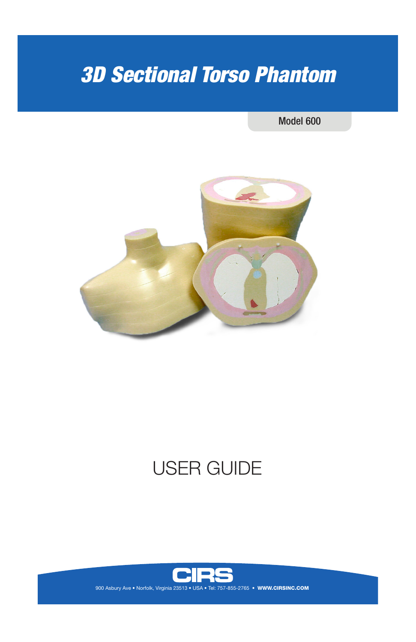# *3D Sectional Torso Phantom*

#### Model 600



## USER GUIDE

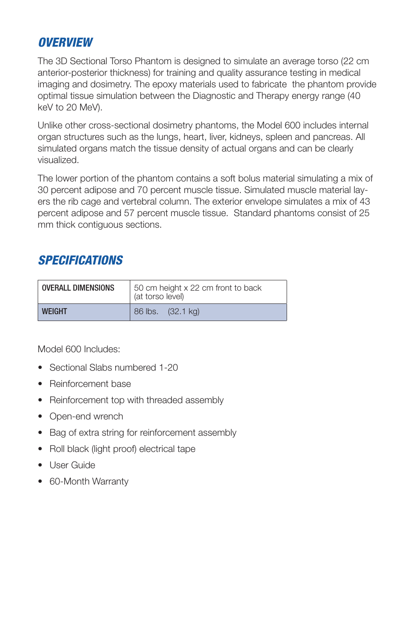### *OVERVIEW*

The 3D Sectional Torso Phantom is designed to simulate an average torso (22 cm anterior-posterior thickness) for training and quality assurance testing in medical imaging and dosimetry. The epoxy materials used to fabricate the phantom provide optimal tissue simulation between the Diagnostic and Therapy energy range (40 keV to 20 MeV).

Unlike other cross-sectional dosimetry phantoms, the Model 600 includes internal organ structures such as the lungs, heart, liver, kidneys, spleen and pancreas. All simulated organs match the tissue density of actual organs and can be clearly visualized.

The lower portion of the phantom contains a soft bolus material simulating a mix of 30 percent adipose and 70 percent muscle tissue. Simulated muscle material layers the rib cage and vertebral column. The exterior envelope simulates a mix of 43 percent adipose and 57 percent muscle tissue. Standard phantoms consist of 25 mm thick contiguous sections.

## *SPECIFICATIONS*

| <b>OVERALL DIMENSIONS</b> | 50 cm height x 22 cm front to back<br>(at torso level) |
|---------------------------|--------------------------------------------------------|
| <b>WFIGHT</b>             | 86 lbs. (32.1 kg)                                      |

Model 600 Includes:

- Sectional Slabs numbered 1-20
- Reinforcement base
- Reinforcement top with threaded assembly
- Open-end wrench
- Bag of extra string for reinforcement assembly
- Roll black (light proof) electrical tape
- User Guide
- 60-Month Warranty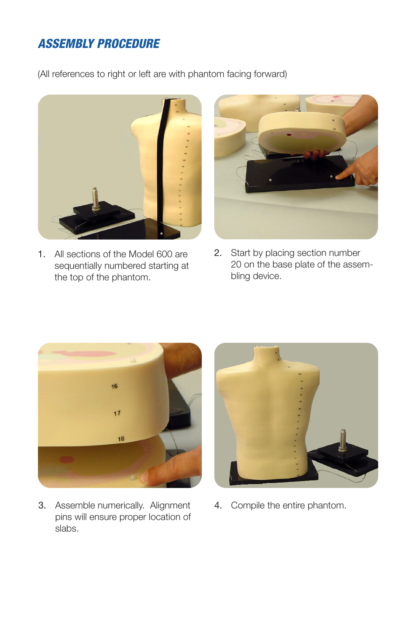## *ASSEMBLY PROCEDURE*

(All references to right or left are with phantom facing forward)



1. All sections of the Model 600 are sequentially numbered starting at the top of the phantom.



2. Start by placing section number 20 on the base plate of the assembling device.



3. Assemble numerically. Alignment pins will ensure proper location of slabs.



4. Compile the entire phantom.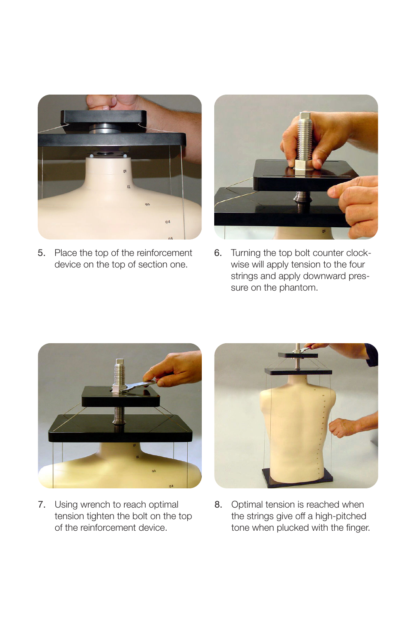

5. Place the top of the reinforcement device on the top of section one.



6. Turning the top bolt counter clockwise will apply tension to the four strings and apply downward pressure on the phantom.



7. Using wrench to reach optimal tension tighten the bolt on the top of the reinforcement device.



8. Optimal tension is reached when the strings give off a high-pitched tone when plucked with the finger.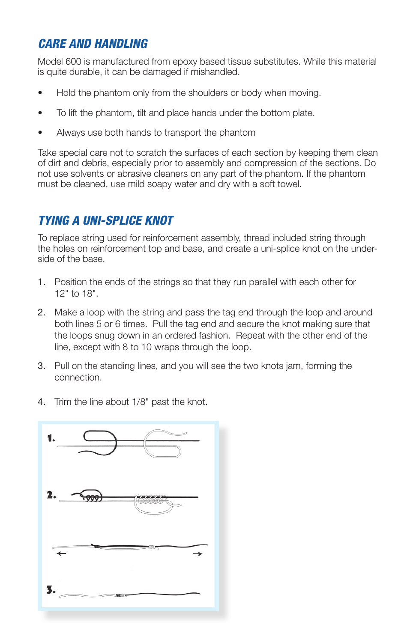## *CARE AND HANDLING*

Model 600 is manufactured from epoxy based tissue substitutes. While this material is quite durable, it can be damaged if mishandled.

- Hold the phantom only from the shoulders or body when moving.
- To lift the phantom, tilt and place hands under the bottom plate.
- Always use both hands to transport the phantom

Take special care not to scratch the surfaces of each section by keeping them clean of dirt and debris, especially prior to assembly and compression of the sections. Do not use solvents or abrasive cleaners on any part of the phantom. If the phantom must be cleaned, use mild soapy water and dry with a soft towel.

## *TYING A UNI-SPLICE KNOT*

To replace string used for reinforcement assembly, thread included string through the holes on reinforcement top and base, and create a uni-splice knot on the underside of the base.

- 1. Position the ends of the strings so that they run parallel with each other for 12" to 18".
- 2. Make a loop with the string and pass the tag end through the loop and around both lines 5 or 6 times. Pull the tag end and secure the knot making sure that the loops snug down in an ordered fashion. Repeat with the other end of the line, except with 8 to 10 wraps through the loop.
- 3. Pull on the standing lines, and you will see the two knots jam, forming the connection.
- 4. Trim the line about 1/8" past the knot.

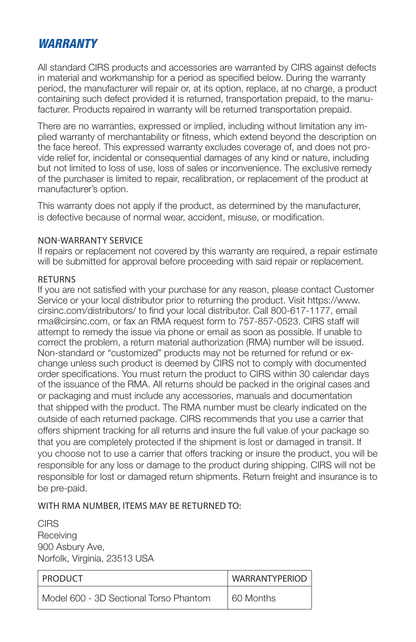### *WARRANTY*

All standard CIRS products and accessories are warranted by CIRS against defects in material and workmanship for a period as specified below. During the warranty period, the manufacturer will repair or, at its option, replace, at no charge, a product containing such defect provided it is returned, transportation prepaid, to the manufacturer. Products repaired in warranty will be returned transportation prepaid.

There are no warranties, expressed or implied, including without limitation any implied warranty of merchantability or fitness, which extend beyond the description on the face hereof. This expressed warranty excludes coverage of, and does not provide relief for, incidental or consequential damages of any kind or nature, including but not limited to loss of use, loss of sales or inconvenience. The exclusive remedy of the purchaser is limited to repair, recalibration, or replacement of the product at manufacturer's option.

This warranty does not apply if the product, as determined by the manufacturer, is defective because of normal wear, accident, misuse, or modification.

#### NON-WARRANTY SERVICE

If repairs or replacement not covered by this warranty are required, a repair estimate will be submitted for approval before proceeding with said repair or replacement.

#### **RETURNS**

If you are not satisfied with your purchase for any reason, please contact Customer Service or your local distributor prior to returning the product. Visit https://www. cirsinc.com/distributors/ to find your local distributor. Call 800-617-1177, email rma@cirsinc.com, or fax an RMA request form to 757-857-0523. CIRS staff will attempt to remedy the issue via phone or email as soon as possible. If unable to correct the problem, a return material authorization (RMA) number will be issued. Non-standard or "customized" products may not be returned for refund or exchange unless such product is deemed by CIRS not to comply with documented order specifications. You must return the product to CIRS within 30 calendar days of the issuance of the RMA. All returns should be packed in the original cases and or packaging and must include any accessories, manuals and documentation that shipped with the product. The RMA number must be clearly indicated on the outside of each returned package. CIRS recommends that you use a carrier that offers shipment tracking for all returns and insure the full value of your package so that you are completely protected if the shipment is lost or damaged in transit. If you choose not to use a carrier that offers tracking or insure the product, you will be responsible for any loss or damage to the product during shipping. CIRS will not be responsible for lost or damaged return shipments. Return freight and insurance is to be pre-paid.

#### WITH RMA NUMBER, ITEMS MAY BE RETURNED TO:

**CIRS Receiving** 900 Asbury Ave, Norfolk, Virginia, 23513 USA

| <b>PRODUCT</b>                         | WARRANTYPERIOD |
|----------------------------------------|----------------|
| Model 600 - 3D Sectional Torso Phantom | 60 Months      |